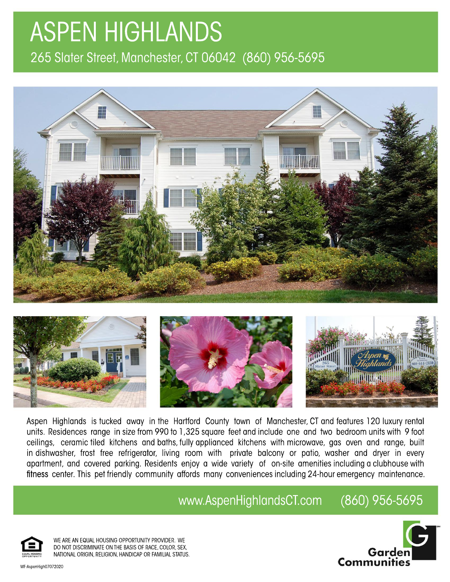## **ASPEN HIGHLANDS** 265 Slater Street, Manchester, CT 06042 (860) 956-5695





Aspen Highlands is tucked away in the Hartford County town of Manchester, CT and features 120 luxury rental units. Residences range in size from 990 to 1,325 square feet and include one and two bedroom units with 9 foot ceilings, ceramic tiled kitchens and baths, fully applianced kitchens with microwave, gas oven and range, built in dishwasher, frost free refrigerator, living room with private balcony or patio, washer and dryer in every apartment, and covered parking. Residents enjoy a wide variety of on-site amenities including a clubhouse with fitness center. This pet friendly community affords many conveniences including 24-hour emergency maintenance.

www.AspenHighlandsCT.com (860)956-5695



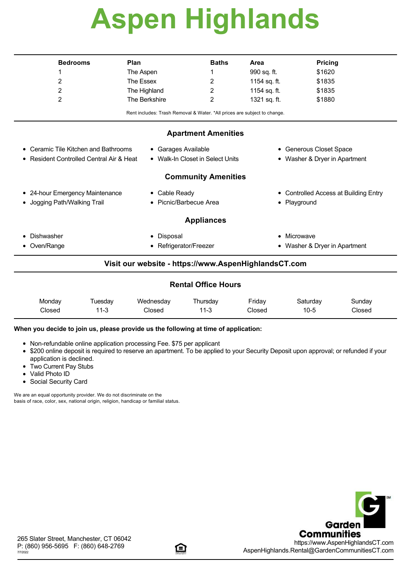# **Aspen Highlands**

| <b>Bedrooms</b>                                                            | Plan                                                                     |               | Area                             | <b>Pricing</b>                                  |  |  |  |  |  |
|----------------------------------------------------------------------------|--------------------------------------------------------------------------|---------------|----------------------------------|-------------------------------------------------|--|--|--|--|--|
| 1                                                                          | The Aspen                                                                | 1             | 990 sq. ft.                      | \$1620                                          |  |  |  |  |  |
| 2                                                                          | The Essex                                                                | 2             | 1154 sq. ft.                     | \$1835                                          |  |  |  |  |  |
| 2                                                                          | The Highland                                                             | 2             | 1154 sq. ft.                     | \$1835                                          |  |  |  |  |  |
| 2                                                                          | The Berkshire                                                            | 2             | 1321 sq. ft.                     | \$1880                                          |  |  |  |  |  |
|                                                                            | Rent includes: Trash Removal & Water. *All prices are subject to change. |               |                                  |                                                 |  |  |  |  |  |
| <b>Apartment Amenities</b>                                                 |                                                                          |               |                                  |                                                 |  |  |  |  |  |
| Ceramic Tile Kitchen and Bathrooms<br>• Garages Available<br>٠             |                                                                          |               | • Generous Closet Space          |                                                 |  |  |  |  |  |
| • Walk-In Closet in Select Units<br>Resident Controlled Central Air & Heat |                                                                          |               | Washer & Dryer in Apartment<br>٠ |                                                 |  |  |  |  |  |
| <b>Community Amenities</b>                                                 |                                                                          |               |                                  |                                                 |  |  |  |  |  |
| • 24-hour Emergency Maintenance                                            |                                                                          | • Cable Ready |                                  | <b>Controlled Access at Building Entry</b><br>٠ |  |  |  |  |  |
| Jogging Path/Walking Trail                                                 | Picnic/Barbecue Area<br>$\bullet$                                        |               | Playground<br>$\bullet$          |                                                 |  |  |  |  |  |
| <b>Appliances</b>                                                          |                                                                          |               |                                  |                                                 |  |  |  |  |  |
| Dishwasher<br>٠                                                            | Disposal<br>٠                                                            |               |                                  | Microwave                                       |  |  |  |  |  |
| Oven/Range<br>٠                                                            | Refrigerator/Freezer<br>٠                                                |               | ٠                                | Washer & Dryer in Apartment                     |  |  |  |  |  |
|                                                                            | Visit our website - https://www.AspenHighlandsCT.com                     |               |                                  |                                                 |  |  |  |  |  |
|                                                                            |                                                                          |               |                                  |                                                 |  |  |  |  |  |

| Monday | uesdav | Wednesdav | Thursdav | Friday | Saturdav | Sundav |
|--------|--------|-----------|----------|--------|----------|--------|
| Closed | 11-3   | Closed    | 11-3     | Closed | $10 - 5$ | Closed |

### **When you decide to join us, please provide us the following at time of application:**

- Non-refundable online application processing Fee. \$75 per applicant
- \$200 online deposit is required to reserve an apartment. To be applied to your Security Deposit upon approval; or refunded if your application is declined.
- Two Current Pay Stubs
- Valid Photo ID
- Social Security Card

We are an equal opportunity provider. We do not discriminate on the basis of race, color, sex, national origin, religion, handicap or familial status.